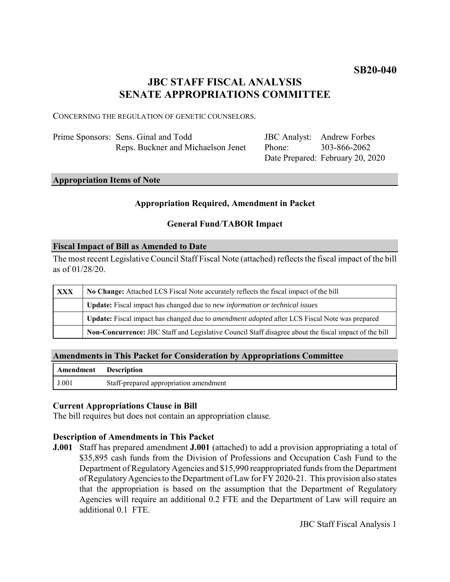# **SB20-040**

# **JBC STAFF FISCAL ANALYSIS SENATE APPROPRIATIONS COMMITTEE**

CONCERNING THE REGULATION OF GENETIC COUNSELORS.

| Prime Sponsors: Sens. Ginal and Todd |                                    |
|--------------------------------------|------------------------------------|
|                                      | Reps. Buckner and Michaelson Jenet |

JBC Analyst: Andrew Forbes Phone: Date Prepared: February 20, 2020 303-866-2062

# **Appropriation Items of Note**

### **Appropriation Required, Amendment in Packet**

## **General Fund**/**TABOR Impact**

#### **Fiscal Impact of Bill as Amended to Date**

The most recent Legislative Council Staff Fiscal Note (attached) reflects the fiscal impact of the bill as of 01/28/20.

| <b>XXX</b> | No Change: Attached LCS Fiscal Note accurately reflects the fiscal impact of the bill                       |  |
|------------|-------------------------------------------------------------------------------------------------------------|--|
|            | <b>Update:</b> Fiscal impact has changed due to new information or technical issues                         |  |
|            | <b>Update:</b> Fiscal impact has changed due to <i>amendment adopted</i> after LCS Fiscal Note was prepared |  |
|            | Non-Concurrence: JBC Staff and Legislative Council Staff disagree about the fiscal impact of the bill       |  |

### **Amendments in This Packet for Consideration by Appropriations Committee**

| Amendment Description |                                        |
|-----------------------|----------------------------------------|
| J.001                 | Staff-prepared appropriation amendment |

## **Current Appropriations Clause in Bill**

The bill requires but does not contain an appropriation clause.

## **Description of Amendments in This Packet**

**J.001** Staff has prepared amendment **J.001** (attached) to add a provision appropriating a total of \$35,895 cash funds from the Division of Professions and Occupation Cash Fund to the Department of Regulatory Agencies and \$15,990 reappropriated funds from the Department of Regulatory Agencies to the Department of Law for FY 2020-21. This provision also states that the appropriation is based on the assumption that the Department of Regulatory Agencies will require an additional 0.2 FTE and the Department of Law will require an additional 0.1 FTE.